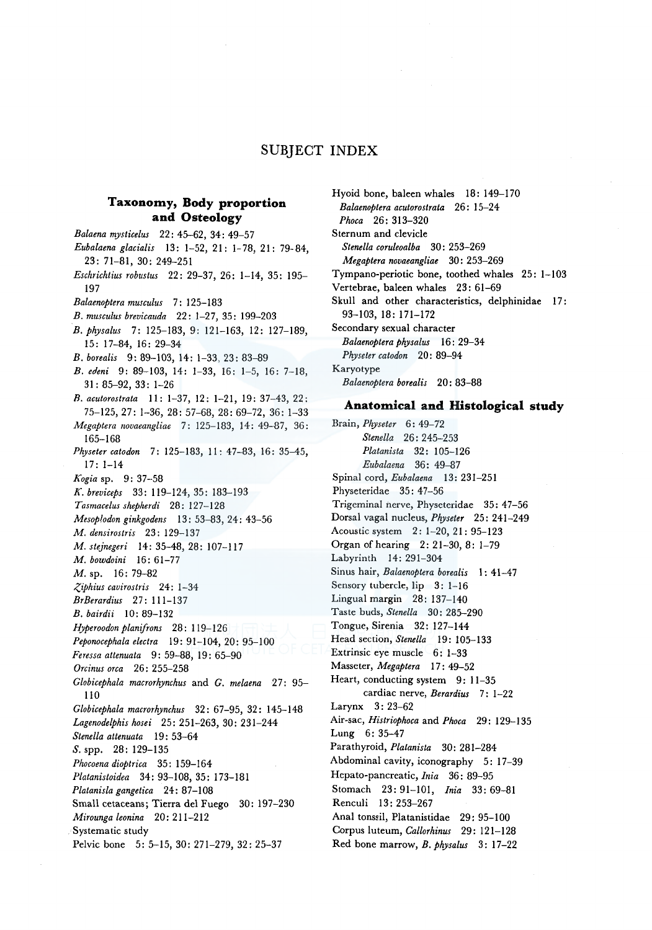# **SUBJECT INDEX**

# **Taxonomy, Body proportion and Osteology**

*Balaena mysticelus* 22: 45-62, 34: 49-57 *Eubalaena glacialis* 13: 1-52, 21: 1-78, 21: 79-84, 23: 71-81, 30: 249-251 *Eschrichtius robustus* 22: 29-37, 26: 1-14, 35: 195- 197 *Balaenoptera musculus* 7: 125-183 *B. musculus brevicauda* 22: 1-27, 35: 199-203 *B. physalus* 7: 125-183, 9: 121-163, 12: 127-189, 15: 17-84, 16: 29-34 *B. borealis* 9: 89-103, 14: 1-33, 23: 83-89 *B. erfeni* 9: 89-103, 14: 1-33, 16: 1-5, 16: 7-18, 31: 85-92, 33: 1-26 *B. acutorostrata* II: 1-37, 12: 1-21, 19: 37-43, 22: 75-125, 27: 1-36, 28: 57-68, 28: 69-72, 36: 1-33 *Megaptera novaeangliae* 7: 125-183, 14: 49-87, 36: 165-168 *Physeter catodon* 7: 125-183, 11: 47-83, 16: 35--45, 17: 1-14 *Kogia* sp. 9: 37-58 *K. breviceps* 33: 119-124, 35: 183-193 *Tasmacelus shepherdi* 28: 127-128 *Mesoplodon ginkgodens* 13: 53-83, 24: 43-56 *M. densirostris* 23: 129-137 *M. stejnegeri* 14: 35-48, 28: 107-117 *M. bowdoini* 16: 61-77 M. sp. 16: 79-82 *Z,iphius cavirostris* 24: 1-34 *BrBerardius* 27: 111-137 *B. bairdii* 10: 89-132 *Hyperoodon planifrons* 28: 119-126 *Peponocephala electra* 19: 91-104, 20: 95-100 *Feressa attenuata* 9: 59-88, 19: 65-90 *Orcinus orca* 26: 255-258 *Globicephala macrorhynchus* and *G. melaena* 27: 95- 110 *Globicephala macrorhynchus* 32: 67-95, 32: 145-148 *Lagenodelphis hosei* 25: 251-263, 30: 231-244 *Stenella attenuata* l 9: 53-64 *S.* spp. 28: 129-135 *Phocoena dioptrica* 35: 159-164 *Platanistoidea* 34: 93-108, 35: 173-181 *Platanisla gangetica* 24: 87-108 Small cetaceans; Tierra del Fuego 30: 197-230 *Mirounga leonina* 20: 211-212 Systematic study Pelvic bone 5: 5-15, 30: 271-279, 32: 25-37

Hyoid bone, baleen whales 18: 149-170 *Balaenoptera acutorostrata* 26: 15-24 *Phoca* 26: 313-320 Sternum and clevicle *Stenella coruleoalba* 30: 253-269 *Megaptera novaeangliae* 30: 253-269 Tympano-periotic bone, toothed whales 25: 1-103 Vertebrae, baleen whales 23: 61-69 Skull and other characteristics, delphinidae 17: 93-103, 18: 171-172 Secondary sexual character *Balaenoptera physalus* 16: 29-34 *Physeter catodon* 20: 89-94 Karyotype *Balaenoptera borealis* 20: 83-88

## **Anatomical and Histological study**

Brain, *Physeter* 6: 49-72 *Stenella* 26: 245-253 *Platanista* 32: 105-126 *Eubalaena* 36: 49-87 Spinal cord, *Eubalaena* 13: 231-251 Physeteridae 35: 47-56 Trigeminal nerve, Physeteridae 35: 47-56 Dorsal vagal nucleus, *Physeter* 25: 241-249 Acoustic system 2: 1-20, 21: 95-123 Organ of hearing 2: 21-30, 8: 1-79 Labyrinth 14: 291-304 Sinus hair, *Balaenoptera borealis* 1: 41-47 Sensory tubercle, lip 3: 1-16 Lingual margin 28: 137-140 Taste buds, *Stenella* 30: 285-290 Tongue, Sirenia 32: 127-144 Head section, *Stenella* 19: 105-133 Extrinsic eye muscle 6: 1-33 Masseter, *Megaptera* 17: 49-52 Heart, conducting system 9: 11-35 cardiac nerve, *Berardius* 7: 1-22 Larynx 3: 23-62 Air-sac, *Histriophoca* and *Phoca* 29: 129-135 Lung 6: 35-47 Parathyroid, *Platanista* 30: 281-284 Abdominal cavity, iconography 5: 17-39 Hepato-pancreatic, *Inia* 36: 89-95 Stomach 23: 91-101, *lnia* 33: 69-81 Renculi 13: 253-267 Anal tonssil, Platanistidae 29: 95-100 Corpus luteum, *Callorhinus* 29: 121-128 Red bone marrow, *B. physalus* 3: 17-22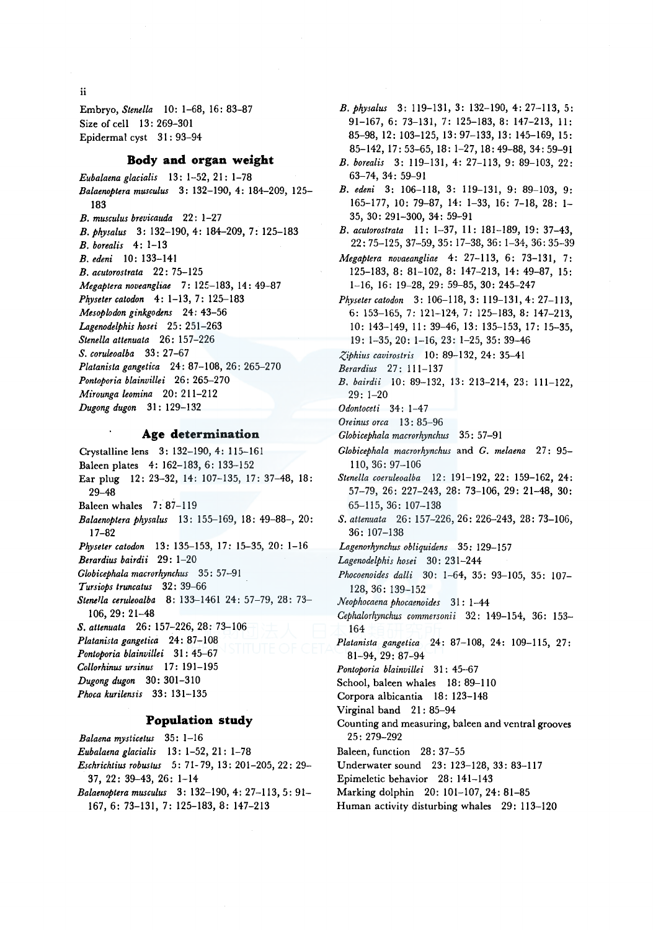ii

Embryo, *Stene/la* 10: 1-68, 16: 83-87 Size of cell 13: 269-301 Epidermal cyst 31: 93-94

### **Body and organ weight**

*Eubalaena glacialis* 13: 1-52, 21: 1-78 *Balaenoptera musculus* 3: 132-190, 4: 184-209, 125- 183 *B. musculus brevicauda* 22: 1-27 *B.physalus* 3: 132-190, 4: 184-209, 7: 125-183 *B. borealis* 4: 1-13 *B. edeni* 10: 133-141 *B. acutorostrata* 22: 75-125 *Megaptera noveangliae* 7: 125-183, 14: 49-87 *Physetercatodon* 4: 1-13, 7: 125-183 *Mesoplodon ginkgodens* 24: 43-56 *Lagenodelphis hosei* 25: 251-263 *Stenella attenuata* 26: 15 7-226 *S. coruleoalba* 33: 27-67 *Platanista gangetica* 24: 87-108, 26: 265-270 *Pontoporia blainvillei* 26: 265-270 *Mirounga leomina* 20: 211-212 *Dugong dugon* 31: 129-132

## **Age determination**

Crystalline lens 3: 132-190, 4: 115-161 Baleen plates 4: 162-183, 6: 133-152 Ear plug 12: 23-32, 14: 107-135, 17: 37-48, 18: 29-48 Baleen whales 7: 87-119 *Balaenoptera physalus* 13: 155-169, 18: 49-88-, 20: 17-82 *Physeter catodon* 13: 135-153, 17: 15-35, 20: 1-16 *Berardius bairdii* 29: 1-20 Globicephala macrorhynchus 35: 57-91 *Tursiops truncatus* 32: 39-66 *Stenella ceruleoalba* 8: 133-1461 24: 57-79, 28: 73- 106, 29: 21-48 *S. attenuata* 26: 157-226, 28: 73-106 *Platanista gangetica* 24: 87-108 *Pontoporia blainvillei* 31 : 45-67 *Collorhinus ursinus* 17: 191-195 *Dugong dugon* 30: 301-310 *Phoca kurilensis* 33: 131-135

#### **Population study**

*Balaena mysticetus* 35: 1-16 *Eubalaena glacialis* 13: 1-52, 21: 1-78 *Eschrichtius robustus* 5: 71- 79, 13: 201-205, 22: 29- 37, 22: 39-43, 26: 1-14

*Balaenoptera musculus* 3: 132-190, 4: 27-113, 5: 91- 167, 6: 73-131, 7: 125-183, 8: 147-213

- *B. ph,ysalus* 3: 119-131, 3: 132-190, 4: 27-113, 5: 91-167, 6: 73-131, 7: 125-183, 8: 147-213, 11: 85-98, 12: 103-125, 13: 97-133, 13: 145-169, 15: 85-142, 17:53-65, 18: 1-27, 18:49-88, 34: 59-91
- *B. borealis* 3: 119-131, 4: 27-113, 9: 89-103, 22: 63-74, 34: 59-91
- *B. edeni* 3: 106-118, 3: 119-131, 9: 89-103, 9: 165-177, 10: 79-87, 14: 1-33, 16: 7-18, 28: 1- 35, 30: 291-300, 34: 59-91
- *B. acutorostrata* 11: 1-37, 11: 181-189, 19: 37-43, 22:75-125, 37-59, 35: 17-38, 36: 1-34, 36:35-39
- *Megaptera novaeangliae* 4: 27-113, 6: 73-131, 7: 125-183, 8: 81-102, 8: 147-213, 14: 49-87, 15: 1-16, 16: 19-28, 29: 59-85, 30: 245-247
- *Physetercatodon* 3: 106-118, 3: 119-131, 4: 27-113, 6: 153-165, 7: 121--124, 7: 125-183, 8: 147-213, 10: 143-149, 11: 39-46, 13: 135-153, 17: 15-35, 19: 1-35, 20: 1-16, 23: 1-25, 35: 39-46
- *,(,iphius cavirostris* 10: 89-132, 24: 35-41
- *Berardius* 27: 111-137
- *B. bairdii* 10: 89-132, 13: 213-214, 23: 111-122, 29: 1-20
- *Odontoceti* 34: 1-4 7
- *Oreinus orca* 13 : 85-96
- *Globicephala macrorhynchus* 35: 57-91
- *Globicephala macrorhynchus* and *G. melaena* 27: 95- 110, 36: 97-106

*Stene/la coeruleoalba* 12: 191-192, 22: 159-162, 24: 57-79, 26: 227-243, 28: 73-106, 29: 21-48, 30: 65-115, 36: 107-138

- *S. attenuata* 26: 157-226, 26: 226-243, 28: 73-106, 36: 107-138
- Lagenorhynchus obliquidens 35: 129-157
- *Lagenodelphis hosei* 30: 231-244
- *Phocoenoides dalli* 30: 1-64, 35: 93-105, 35: 107- 128, 36: 139-152
- *Neophocaena phocaenoides* 31 : 1-44
- *Cephalorhynchus commersoni* i 32 : 149-154, 36: 153- 164
- *Platanista gangetica* 24: 87-108, 24: 109-115, 27: 81-94, 29: 87-94
- Pontoporia blainvillei 31: 45-67
- School, baleen whales 18: 89-110
- Corpora albicantia 18: 123-148
- Virginal band 21: 85-94
- Counting and measuring, baleen and ventral grooves 25: 279-292
- Baleen, function 28: 37-55
- Underwater sound 23: 123-128, 33: 83-117
- Epimeletic behavior 28: 141-143
- Marking dolphin 20: 101-107, 24: 81-85
- Human activity disturbing whales 29: 113-120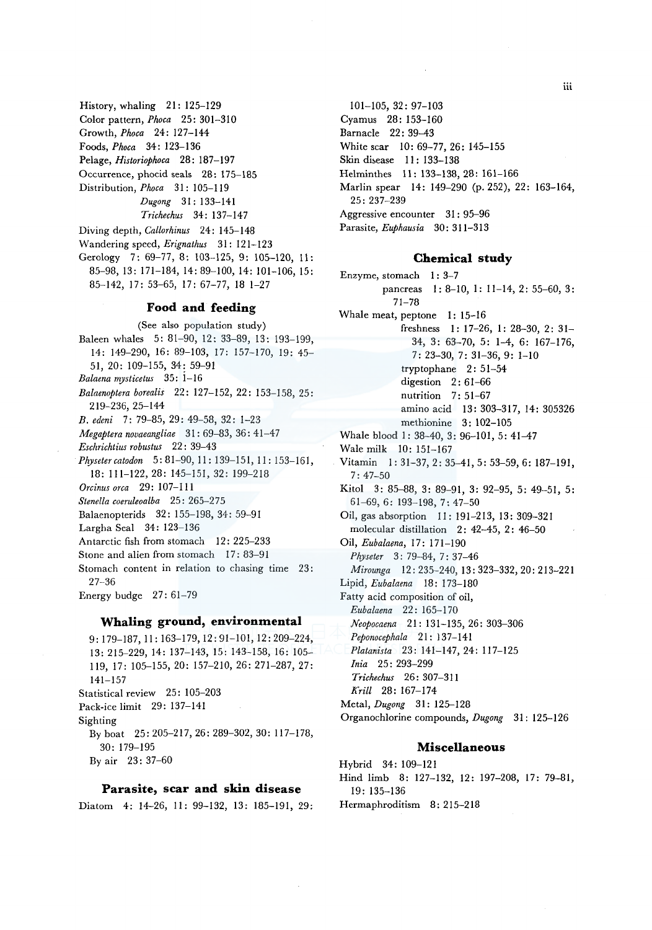History, whaling 21: 125-129 Color pattern, *Phoca* 25: 301-310 Growth, *Phoca* 24: 127-144 Foods, *Phoca* 34: 123-136 Pelage, *Historiophoca* 28: 187-197 Occurrence, phocid seals 28: 175-185 Distribution, *Phoca* 31: 105-119 *Dugong* 31: 133-141 *Trichechus* 34: 137-147 Diving depth, *Callorhinus* 24: 145-148

Wandering speed, *Erignathus* 31: 121-123 Gerology 7: 69-77, 8: 103-125, 9: 105-120, 11: 85-98, 13: 171-184, 14: 89-100, 14: 101-106, 15:

85-142, 17: 53-65, 17: 67-77, 18 1-27

## **Food and feeding**

(See also population study) Baleen whales 5: 81-90, 12: 33-89, 13: 193-199, 14: 149-290, 16: 89-103, 17: 157-170, 19: 45- 51, 20: 109-155, 34: 59-91 *Balaena mysticetus* 35: i-16 *Balaenoptera borealis* 22: 127-152, 22: 153-158, 25: 219-236, 25-144 *B. edeni* 7: 79-85, 29: 49-58, 32: 1-23 *Megaptera novaeangliae* 31: 69-83, 36: 41-47 *Eschrichtius robustus* 22: 39-43 *Physeter catodon* 5: 81-90, 11: 139-151, 11: 153-161, 18: 111-122, 28: 145-151, 32: 199-218 *Orcinus orca* 29: 107-111 *Stenella coeruleoalba* 25: 265-275 Balaenopterids 32: 155-198, 34: 59-91 Largha Seal 34: 123-136 Antarctic fish from stomach 12: 225-233 Stone and alien from stomach 17: 83-91 Stomach content in relation to chasing time 23: 27-36 Energy budge  $27:61-79$ 

# **Whaling ground, environmental**

9: 179-187, 11: 163-179, 12: 91-101, 12: 209-224, 13: 215-229, 14: 137-143, 15: 143-158, 16: 105- 119, 17: 105-155, 20: 157-210, 26: 271-287, 27: 141-157 Statistical review 25: 105-203 Pack-ice limit 29: 137-141 Sighting By boat 25: 205-217, 26: 289-302, 30: 117-178, 30: 179-195 By air 23: 37-60

#### **Parasite, scar and skin disease**

Diatom 4: 14-26, II: 99-132, 13: 185-191, 29:

101-105, 32: 97-103 Cyamus 28: 153-160 Barnacle 22: 39-43 White scar 10: 69-77, 26: 145-155 Skin disease 11: 133-138 Helminthes 11: 133-138, 28: 161-166 Marlin spear 14: 149-290 (p. 252), 22: 163-164, 25: 237-239 Aggressive encounter 31: 95-96 Parasite, *Euphausia* 30: 311-313

### **Chemical study**

Enzyme, stomach I: 3-7 pancreas I: 8-10, I: 11-14, 2: 55-60, 3: 71-78 Whale meat, peptone I: 15-16 freshness 1: 17-26, I: 28-30, 2: 31- 34, 3: 63-70, 5: 1-4, 6: 167-176, 7: 23-30, 7: 31-36, 9: 1-10 tryptophane 2: 51-54 digestion 2: 61-66 nutrition 7: 51-67 amino acid 13: 303-317, 14: 305326 methionine 3: 102-105 Whale blood 1: 38-40, 3: 96-101, 5: 41-47 Wale milk 10: 151-167 Vitamin I: 31-37, 2: 35-41, 5: 53-59, 6: 187-191, 7:47-50 Kitol 3: 85-88, 3: 89-91, 3: 92-95, 5: 49-51, 5: 61-69, 6: 193-198, 7: 47-50 Oil, gas absorption 11 : 191-213, 13: 309-321 molecular distillation 2: 42-45, 2: 46-50 Oil, *Eubalaena,* l 7: 171-190 *Physeter* 3: 79-84, 7: 37-46 *Mirounga* 12: 235-240, 13: 323-332, 20: 213-221 Lipid, *Eubalaena* 18: 173-180 Fatty acid composition of oil, *Eubalaena* 22: 165-170 *Neopocaena* 21: 131-135, 26: 303-306 *Peponocephala* 21: 137-141 *Platanista* 23: 141-147, 24: 117-125 *Inia* 25: 293-299 *Trichechus* 26: 307-311 *Krill* 28: 167-174 Metal, *Dugong* 31: 125-128 Organochlorine compounds, *Dugong* 31: 125-126

## **Miscellaneous**

Hybrid 34: 109-121 Hind limb 8: 127-132, 12: 197-208, 17: 79-81, 19: 135-136 Hermaphroditism 8: 215-218